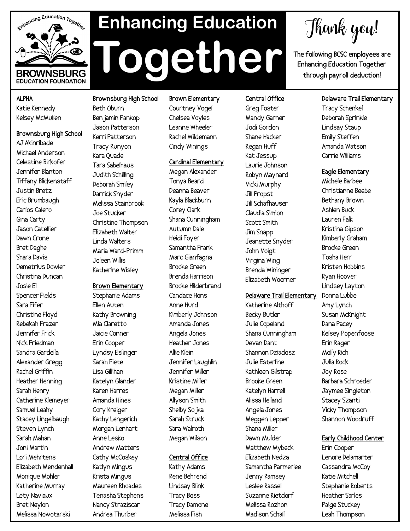

# **Enhancing Education Together**

Thank you!

**The following BCSC employees are Enhancing Education Together through payroll deduction!**

# **ALPHA**  Katie Kennedy Kelsey McMullen

**Brownsburg High School** AJ Akinribade Michael Anderson Celestine Birkofer Jennifer Blanton Tiffany Blickenstaff Justin Bretz Eric Brumbaugh Carlos Calero Gina Carty Jason Catellier Dawn Crone Bret Daghe Shara Davis Demetrius Dowler Christina Duncan Josie El Spencer Fields Sara Fifer Christine Floyd Rebekah Frazer Jennifer Frick Nick Friedman Sandra Gardella Alexander Gregg Rachel Griffin Heather Henning Sarah Henry Catherine Klemeyer Samuel Leahy Stacey Lingelbaugh Steven Lynch Sarah Mahan Joni Martin Lori Mehrtens Elizabeth Mendenhall Monique Mohler Katherine Murray Lety Naviaux Bret Neylon Melissa Nowotarski

Beth Oburn Benjamin Pankop Jason Patterson Kerri Patterson Tracy Runyon Kara Quade Tara Sabelhaus Judith Schilling Deborah Smiley Darrick Snyder Melissa Stainbrook Joe Stucker Christine Thompson Elizabeth Walter Linda Walters Maria Ward-Primm Joleen Willis Katherine Wisley

**Brownsburg High School**

### **Brown Elementary**

Stephanie Adams Ellen Auten Kathy Browning Mia Claretto Jaicie Conner Erin Cooper Lyndsy Eslinger Sarah Fiete Lisa Gillihan Katelyn Glander Karen Harres Amanda Hines Cory Kreiger Kathy Lengerich Morgan Lenhart Anne Lesko Andrew Matters Cathy McCoskey Katlyn Mingus Krista Mingus Maureen Rhoades Tenasha Stephens Nancy Straziscar Andrea Thurber

# **Brown Elementary**

Courtney Vogel Chelsea Voyles Leanne Wheeler Rachel Wildemann Cindy Winings

# **Cardinal Elementary**

Megan Alexander Tonya Beard Deanna Beaver Kayla Blackburn Corey Clark Shana Cunningham Autumn Dale Heidi Foyer Samantha Frank Marc Gianfagna Brooke Green Brenda Harrison Brooke Hilderbrand Candace Hons Anne Hurd Kimberly Johnson Amanda Jones Angela Jones Heather Jones Allie Klein Jennifer Laughlin Jennifer Miller Kristine Miller Megan Miller Allyson Smith Shelby Sojka Sarah Struck Sara Walroth Megan Wilson

# **Central Office**

Kathy Adams Rene Behrend Lindsay Blink Tracy Boss Tracy Damone Melissa Fish

**Central Office** Greg Foster Mandy Garner Jodi Gordon Shane Hacker Regan Huff Kat Jessup Laurie Johnson Robyn Maynard Vicki Murphy Jill Propst Jill Schafhauser Claudia Simion Scott Smith Jim Snapp Jeanette Snyder John Voigt Virgina Wing Brenda Wininger Elizabeth Woerner

# **Delaware Trail Elementary**

Katherine Althoff Becky Butler Julie Copeland Shana Cunningham Devan Dant Shannon Dziadosz Julie Esterline Kathleen Gilstrap Brooke Green Katelyn Harrell Alissa Helland Angela Jones Meggen Lepper Shana Miller Dawn Mulder Matthew Mybeck Elizabeth Nedza Samantha Parmerlee Jenny Ramsey Leslee Rassel Suzanne Rietdorf Melissa Rozhon Madison Schall

# **Delaware Trail Elementary**

Tracy Schenkel Deborah Sprinkle Lindsay Staup Emily Steffen Amanda Watson Carrie Williams

# **Eagle Elementary**

Michele Barbee Christianne Beebe Bethany Brown Ashlen Buck Lauren Falk Kristina Gipson Kimberly Graham Brooke Green Tosha Herr Kristen Hobbins Ryan Hoover Lindsey Layton Donna Lubbe Amy Lynch Susan McKnight Dana Pacey Kelsey Popenfoose Erin Rager Molly Rich Julia Rock Joy Rose Barbara Schroeder Jaymee Singleton Stacey Szanti Vicky Thompson Shannon Woodruff

# **Early Childhood Center**

Erin Cooper Lenore Delamarter Cassandra McCoy Katie Mitchell Stephanie Roberts Heather Sarles Paige Stuckey Leah Thompson